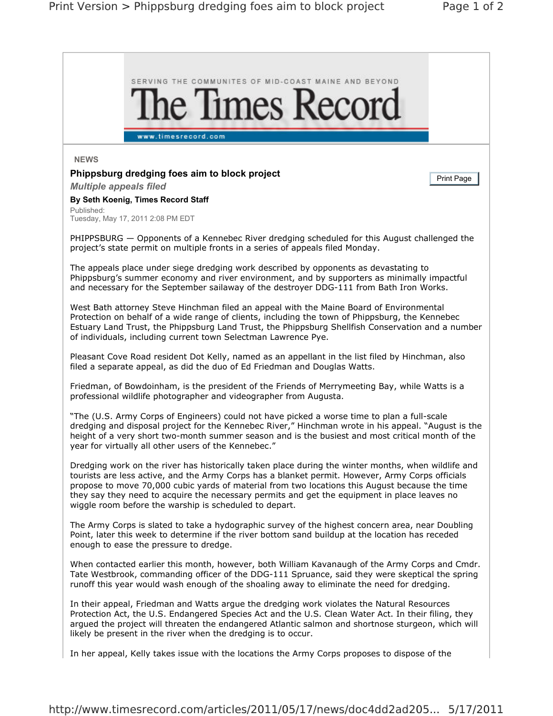